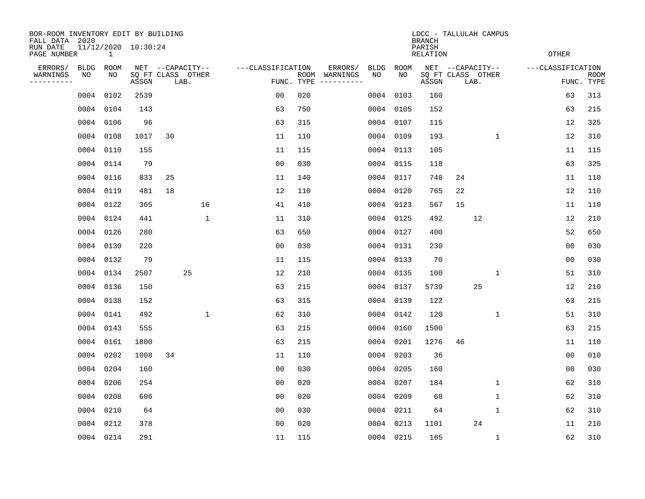| BOR-ROOM INVENTORY EDIT BY BUILDING<br>FALL DATA 2020 |                                                    |      |                  |                           |                   |                |                           | LDCC - TALLULAH CAMPUS<br><b>BRANCH</b> |             |           |                  |                   |      |                   |  |                |                           |
|-------------------------------------------------------|----------------------------------------------------|------|------------------|---------------------------|-------------------|----------------|---------------------------|-----------------------------------------|-------------|-----------|------------------|-------------------|------|-------------------|--|----------------|---------------------------|
| RUN DATE                                              | 11/12/2020 10:30:24<br>PAGE NUMBER<br>$\mathbf{1}$ |      |                  |                           |                   |                | PARISH<br><b>RELATION</b> |                                         |             |           |                  |                   |      | <b>OTHER</b>      |  |                |                           |
| ERRORS/<br><b>BLDG</b><br>ROOM                        |                                                    |      | NET --CAPACITY-- |                           | ---CLASSIFICATION |                | ERRORS/                   | <b>BLDG</b>                             | <b>ROOM</b> |           | NET --CAPACITY-- |                   |      | ---CLASSIFICATION |  |                |                           |
| WARNINGS<br>----------                                | NO                                                 | ΝO   | ASSGN            | SQ FT CLASS OTHER<br>LAB. |                   |                | ROOM<br>FUNC. TYPE        | WARNINGS                                | NO          | NO        | ASSGN            | SQ FT CLASS OTHER | LAB. |                   |  |                | <b>ROOM</b><br>FUNC. TYPE |
|                                                       | 0004                                               | 0102 | 2539             |                           |                   | 0 <sub>0</sub> | 020                       |                                         | 0004        | 0103      | 160              |                   |      |                   |  | 63             | 313                       |
|                                                       | 0004 0104                                          |      | 143              |                           |                   | 63             | 750                       |                                         | 0004        | 0105      | 152              |                   |      |                   |  | 63             | 215                       |
|                                                       | 0004 0106                                          |      | 96               |                           |                   | 63             | 315                       |                                         | 0004        | 0107      | 115              |                   |      |                   |  | 12             | 325                       |
|                                                       | 0004 0108                                          |      | 1017             | 30                        |                   | 11             | 110                       |                                         | 0004        | 0109      | 193              |                   |      | $\mathbf 1$       |  | 12             | 310                       |
|                                                       | 0004                                               | 0110 | 155              |                           |                   | 11             | 115                       |                                         | 0004        | 0113      | 105              |                   |      |                   |  | 11             | 115                       |
|                                                       | 0004 0114                                          |      | 79               |                           |                   | 0 <sub>0</sub> | 030                       |                                         |             | 0004 0115 | 118              |                   |      |                   |  | 63             | 325                       |
|                                                       | 0004 0116                                          |      | 833              | 25                        |                   | 11             | 140                       |                                         | 0004        | 0117      | 748              | 24                |      |                   |  | 11             | 110                       |
|                                                       | 0004 0119                                          |      | 481              | 18                        |                   | 12             | 110                       |                                         |             | 0004 0120 | 765              | 22                |      |                   |  | 12             | 110                       |
|                                                       | 0004 0122                                          |      | 365              |                           | 16                | 41             | 410                       |                                         | 0004        | 0123      | 567              | 15                |      |                   |  | 11             | 110                       |
|                                                       | 0004 0124                                          |      | 441              |                           | $\mathbf 1$       | 11             | 310                       |                                         |             | 0004 0125 | 492              |                   | 12   |                   |  | 12             | 210                       |
|                                                       | 0004 0126                                          |      | 280              |                           |                   | 63             | 650                       |                                         | 0004        | 0127      | 400              |                   |      |                   |  | 52             | 650                       |
|                                                       | 0004 0130                                          |      | 220              |                           |                   | 0 <sub>0</sub> | 030                       |                                         | 0004        | 0131      | 230              |                   |      |                   |  | 0 <sub>0</sub> | 030                       |
|                                                       | 0004 0132                                          |      | 79               |                           |                   | 11             | 115                       |                                         | 0004        | 0133      | 70               |                   |      |                   |  | 0 <sub>0</sub> | 030                       |
|                                                       | 0004 0134                                          |      | 2507             | 25                        |                   | 12             | 210                       |                                         | 0004        | 0135      | 100              |                   |      | 1                 |  | 51             | 310                       |
|                                                       | 0004 0136                                          |      | 150              |                           |                   | 63             | 215                       |                                         |             | 0004 0137 | 5739             |                   | 25   |                   |  | 12             | 210                       |
|                                                       | 0004 0138                                          |      | 152              |                           |                   | 63             | 315                       |                                         |             | 0004 0139 | 122              |                   |      |                   |  | 63             | 215                       |
|                                                       | 0004 0141                                          |      | 492              |                           | $\mathbf 1$       | 62             | 310                       |                                         |             | 0004 0142 | 120              |                   |      | 1                 |  | 51             | 310                       |
|                                                       | 0004 0143                                          |      | 555              |                           |                   | 63             | 215                       |                                         | 0004        | 0160      | 1500             |                   |      |                   |  | 63             | 215                       |
|                                                       | 0004 0161                                          |      | 1800             |                           |                   | 63             | 215                       |                                         | 0004        | 0201      | 1276             | 46                |      |                   |  | 11             | 110                       |
|                                                       | 0004 0202                                          |      | 1008             | 34                        |                   | 11             | 110                       |                                         | 0004        | 0203      | 36               |                   |      |                   |  | 00             | 010                       |
|                                                       | 0004 0204                                          |      | 160              |                           |                   | 0 <sub>0</sub> | 030                       |                                         | 0004        | 0205      | 160              |                   |      |                   |  | 0 <sub>0</sub> | 030                       |
|                                                       | 0004                                               | 0206 | 254              |                           |                   | 0 <sub>0</sub> | 020                       |                                         | 0004        | 0207      | 184              |                   |      | $\mathbf 1$       |  | 62             | 310                       |
|                                                       | 0004 0208                                          |      | 606              |                           |                   | 0 <sub>0</sub> | 020                       |                                         | 0004        | 0209      | 68               |                   |      | 1                 |  | 62             | 310                       |
|                                                       | 0004 0210                                          |      | 64               |                           |                   | 0 <sub>0</sub> | 030                       |                                         | 0004        | 0211      | 64               |                   |      | $\mathbf{1}$      |  | 62             | 310                       |
|                                                       | 0004 0212                                          |      | 378              |                           |                   | 0 <sub>0</sub> | 020                       |                                         | 0004        | 0213      | 1101             |                   | 24   |                   |  | 11             | 210                       |
|                                                       | 0004 0214                                          |      | 291              |                           |                   | 11             | 115                       |                                         |             | 0004 0215 | 165              |                   |      | $\mathbf 1$       |  | 62             | 310                       |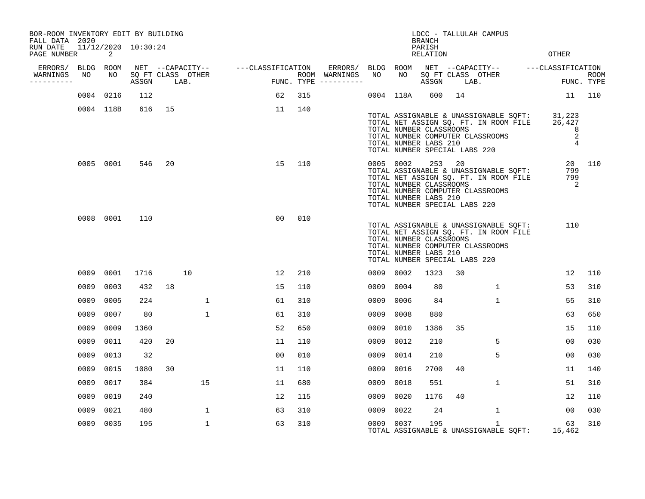| BOR-ROOM INVENTORY EDIT BY BUILDING<br>FALL DATA 2020 |      |                            |                     |      |                   |                                    | LDCC - TALLULAH CAMPUS<br><b>BRANCH</b> |                                      |           |           |                                                                                             |    |                                                                                                                                  |                                          |                    |
|-------------------------------------------------------|------|----------------------------|---------------------|------|-------------------|------------------------------------|-----------------------------------------|--------------------------------------|-----------|-----------|---------------------------------------------------------------------------------------------|----|----------------------------------------------------------------------------------------------------------------------------------|------------------------------------------|--------------------|
| RUN DATE<br>PAGE NUMBER                               |      | $\overline{\phantom{0}}^2$ | 11/12/2020 10:30:24 |      |                   |                                    |                                         |                                      |           |           | PARISH<br><b>RELATION</b>                                                                   |    |                                                                                                                                  | <b>OTHER</b>                             |                    |
| ERRORS/ BLDG ROOM                                     |      |                            |                     |      |                   | NET --CAPACITY-- ---CLASSIFICATION |                                         |                                      |           |           |                                                                                             |    | ERRORS/ BLDG ROOM NET --CAPACITY-- ----CLASSIFICATION                                                                            |                                          |                    |
| WARNINGS<br>----------                                | NO   | NO                         | ASSGN               | LAB. | SQ FT CLASS OTHER | בים בית<br>במוסן                   |                                         | ROOM WARNINGS<br>FUNC. TYPE $------$ | NO        | NO        | ASSGN                                                                                       |    | SQ FT CLASS OTHER<br>LAB.                                                                                                        |                                          | ROOM<br>FUNC. TYPE |
|                                                       |      | 0004 0216                  | 112                 |      |                   | 62                                 | 315                                     |                                      |           | 0004 118A | 600                                                                                         | 14 |                                                                                                                                  | 11                                       | 110                |
|                                                       |      | 0004 118B                  | 616                 | 15   |                   | 11                                 | 140                                     |                                      |           |           |                                                                                             |    |                                                                                                                                  |                                          |                    |
|                                                       |      |                            |                     |      |                   |                                    |                                         |                                      |           |           | TOTAL NUMBER CLASSROOMS<br>TOTAL NUMBER LABS 210<br>TOTAL NUMBER SPECIAL LABS 220           |    | TOTAL ASSIGNABLE & UNASSIGNABLE SQFT: 31,223<br>TOTAL NET ASSIGN SQ. FT. IN ROOM FILE 26,427<br>TOTAL NUMBER COMPUTER CLASSROOMS | 8<br>$\boldsymbol{2}$<br>$\overline{4}$  |                    |
|                                                       |      | 0005 0001                  | 546                 | 20   |                   | 15                                 | 110                                     |                                      |           | 0005 0002 | 253 20<br>TOTAL NUMBER CLASSROOMS<br>TOTAL NUMBER LABS 210<br>TOTAL NUMBER SPECIAL LABS 220 |    | TOTAL ASSIGNABLE & UNASSIGNABLE SQFT:<br>TOTAL NET ASSIGN SQ. FT. IN ROOM FILE<br>TOTAL NUMBER COMPUTER CLASSROOMS               | 799<br>799<br>$\overline{\phantom{0}}^2$ | 20 110             |
|                                                       |      | 0008 0001                  | 110                 |      |                   | 00                                 | 010                                     |                                      |           |           | TOTAL NUMBER CLASSROOMS<br>TOTAL NUMBER LABS 210<br>TOTAL NUMBER SPECIAL LABS 220           |    | TOTAL ASSIGNABLE & UNASSIGNABLE SQFT:<br>TOTAL NET ASSIGN SQ. FT. IN ROOM FILE<br>TOTAL NUMBER COMPUTER CLASSROOMS               | 110                                      |                    |
|                                                       | 0009 | 0001                       | 1716                |      | 10                | 12                                 | 210                                     |                                      | 0009 0002 |           | 1323                                                                                        | 30 |                                                                                                                                  | 12                                       | 110                |
|                                                       | 0009 | 0003                       | 432                 | 18   |                   | 15                                 | 110                                     |                                      | 0009      | 0004      | 80                                                                                          |    | 1                                                                                                                                | 53                                       | 310                |
|                                                       | 0009 | 0005                       | 224                 |      | $\mathbf{1}$      | 61                                 | 310                                     |                                      | 0009      | 0006      | 84                                                                                          |    | $\mathbf{1}$                                                                                                                     | 55                                       | 310                |
|                                                       | 0009 | 0007                       | 80                  |      | $\mathbf 1$       | 61                                 | 310                                     |                                      | 0009      | 0008      | 880                                                                                         |    |                                                                                                                                  | 63                                       | 650                |
|                                                       | 0009 | 0009                       | 1360                |      |                   | 52                                 | 650                                     |                                      | 0009      | 0010      | 1386                                                                                        | 35 |                                                                                                                                  | 15                                       | 110                |
|                                                       | 0009 | 0011                       | 420                 | 20   |                   | 11                                 | 110                                     |                                      | 0009      | 0012      | 210                                                                                         |    | 5                                                                                                                                | 0 <sub>0</sub>                           | 030                |
|                                                       | 0009 | 0013                       | 32                  |      |                   | 0 <sub>0</sub>                     | 010                                     |                                      | 0009      | 0014      | 210                                                                                         |    | 5                                                                                                                                | 0 <sub>0</sub>                           | 030                |
|                                                       | 0009 | 0015                       | 1080                | 30   |                   | 11                                 | 110                                     |                                      | 0009      | 0016      | 2700                                                                                        | 40 |                                                                                                                                  | 11                                       | 140                |
|                                                       | 0009 | 0017                       | 384                 |      | 15                | 11                                 | 680                                     |                                      | 0009      | 0018      | 551                                                                                         |    | $\mathbf{1}$                                                                                                                     | 51                                       | 310                |
|                                                       | 0009 | 0019                       | 240                 |      |                   | 12                                 | 115                                     |                                      | 0009      | 0020      | 1176                                                                                        | 40 |                                                                                                                                  | 12                                       | 110                |
|                                                       | 0009 | 0021                       | 480                 |      | $\mathbf{1}$      | 63                                 | 310                                     |                                      | 0009      | 0022      | 24                                                                                          |    | $\mathbf{1}$                                                                                                                     | 00                                       | 030                |
|                                                       |      | 0009 0035                  | 195                 |      | $\mathbf{1}$      | 63                                 | 310                                     |                                      |           | 0009 0037 | 195                                                                                         |    | $\mathbf{1}$<br>TOTAL ASSIGNABLE & UNASSIGNABLE SQFT:                                                                            | 63<br>15,462                             | 310                |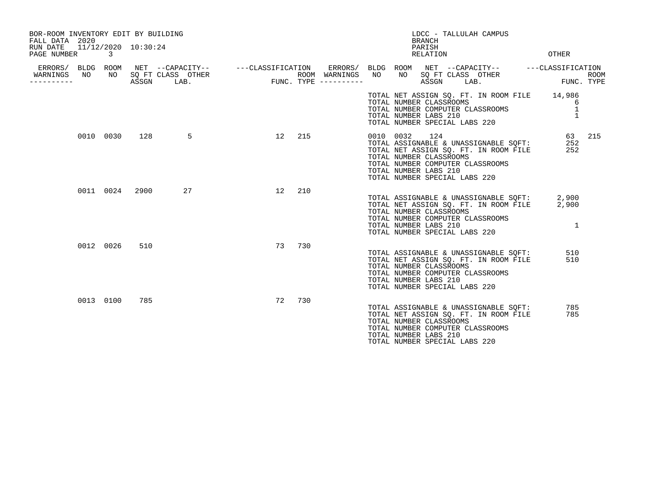| BOR-ROOM INVENTORY EDIT BY BUILDING<br>FALL DATA 2020<br>RUN DATE<br>PAGE NUMBER | 11/12/2020 10:30:24<br>3 |       |                           | LDCC - TALLULAH CAMPUS<br><b>BRANCH</b><br>PARISH<br><b>OTHER</b><br>RELATION |        |                                      |           |                                                                                                                                                                                                                |                                  |                    |  |
|----------------------------------------------------------------------------------|--------------------------|-------|---------------------------|-------------------------------------------------------------------------------|--------|--------------------------------------|-----------|----------------------------------------------------------------------------------------------------------------------------------------------------------------------------------------------------------------|----------------------------------|--------------------|--|
| WARNINGS<br>NO.<br>---------                                                     | NO                       | ASSGN | SQ FT CLASS OTHER<br>LAB. |                                                                               |        | ROOM WARNINGS<br>FUNC. TYPE $------$ | NO        | ERRORS/ BLDG ROOM NET --CAPACITY-- - ---CLASSIFICATION ERRORS/ BLDG ROOM NET --CAPACITY-- - ---CLASSIFICATION<br>NO<br>SQ FT CLASS OTHER<br>ASSGN<br>LAB.                                                      |                                  | ROOM<br>FUNC. TYPE |  |
|                                                                                  |                          |       |                           |                                                                               |        |                                      |           | TOTAL NET ASSIGN SQ. FT. IN ROOM FILE 14,986<br>TOTAL NUMBER CLASSROOMS<br>TOTAL NUMBER COMPUTER CLASSROOMS<br>TOTAL NUMBER LABS 210<br>TOTAL NUMBER SPECIAL LABS 220                                          | 6<br>$\mathbf 1$<br>$\mathbf{1}$ |                    |  |
|                                                                                  | 0010 0030                | 128   | 5                         |                                                                               | 12 215 |                                      | 0010 0032 | 124<br>TOTAL ASSIGNABLE & UNASSIGNABLE SOFT:<br>TOTAL NET ASSIGN SQ. FT. IN ROOM FILE<br>TOTAL NUMBER CLASSROOMS<br>TOTAL NUMBER COMPUTER CLASSROOMS<br>TOTAL NUMBER LABS 210<br>TOTAL NUMBER SPECIAL LABS 220 | 252<br>252                       | 63 215             |  |
|                                                                                  | 0011 0024                | 2900  | 27                        | 12 <sup>°</sup>                                                               | 210    |                                      |           | TOTAL ASSIGNABLE & UNASSIGNABLE SQFT: 2,900<br>TOTAL NET ASSIGN SQ. FT. IN ROOM FILE<br>TOTAL NUMBER CLASSROOMS<br>TOTAL NUMBER COMPUTER CLASSROOMS<br>TOTAL NUMBER LABS 210<br>TOTAL NUMBER SPECIAL LABS 220  | 2,900<br>$\mathbf{1}$            |                    |  |
|                                                                                  | 0012 0026                | 510   |                           | 73                                                                            | 730    |                                      |           | TOTAL ASSIGNABLE & UNASSIGNABLE SQFT:<br>TOTAL NET ASSIGN SQ. FT. IN ROOM FILE<br>TOTAL NUMBER CLASSROOMS<br>TOTAL NUMBER COMPUTER CLASSROOMS<br>TOTAL NUMBER LABS 210<br>TOTAL NUMBER SPECIAL LABS 220        | 510<br>510                       |                    |  |
|                                                                                  | 0013 0100                | 785   |                           | 72                                                                            | 730    |                                      |           | TOTAL ASSIGNABLE & UNASSIGNABLE SQFT:<br>TOTAL NET ASSIGN SQ. FT. IN ROOM FILE<br>TOTAL NUMBER CLASSROOMS<br>TOTAL NUMBER COMPUTER CLASSROOMS<br>TOTAL NUMBER LABS 210<br>TOTAL NUMBER SPECIAL LABS 220        | 785<br>785                       |                    |  |